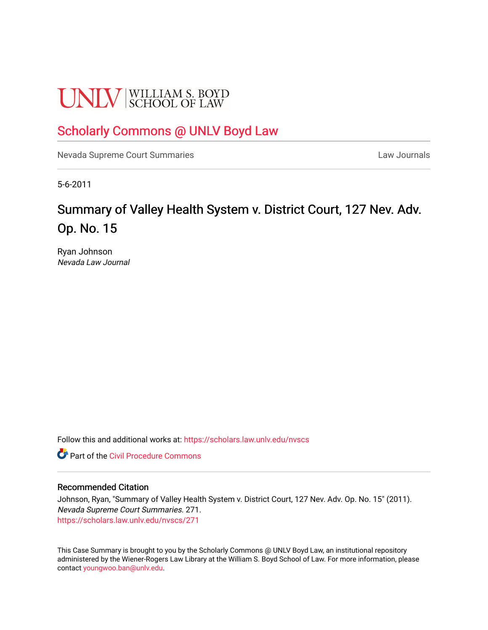# **UNLV** SCHOOL OF LAW

### [Scholarly Commons @ UNLV Boyd Law](https://scholars.law.unlv.edu/)

[Nevada Supreme Court Summaries](https://scholars.law.unlv.edu/nvscs) **Law Journals** Law Journals

5-6-2011

## Summary of Valley Health System v. District Court, 127 Nev. Adv. Op. No. 15

Ryan Johnson Nevada Law Journal

Follow this and additional works at: [https://scholars.law.unlv.edu/nvscs](https://scholars.law.unlv.edu/nvscs?utm_source=scholars.law.unlv.edu%2Fnvscs%2F271&utm_medium=PDF&utm_campaign=PDFCoverPages)

**C** Part of the Civil Procedure Commons

#### Recommended Citation

Johnson, Ryan, "Summary of Valley Health System v. District Court, 127 Nev. Adv. Op. No. 15" (2011). Nevada Supreme Court Summaries. 271. [https://scholars.law.unlv.edu/nvscs/271](https://scholars.law.unlv.edu/nvscs/271?utm_source=scholars.law.unlv.edu%2Fnvscs%2F271&utm_medium=PDF&utm_campaign=PDFCoverPages)

This Case Summary is brought to you by the Scholarly Commons @ UNLV Boyd Law, an institutional repository administered by the Wiener-Rogers Law Library at the William S. Boyd School of Law. For more information, please contact [youngwoo.ban@unlv.edu](mailto:youngwoo.ban@unlv.edu).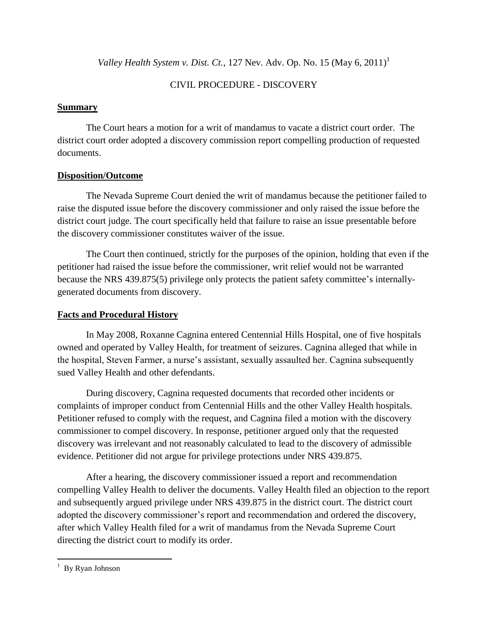*Valley Health System v. Dist. Ct.*, 127 Nev. Adv. Op. No. 15 (May 6, 2011) 1

#### CIVIL PROCEDURE - DISCOVERY

#### **Summary**

The Court hears a motion for a writ of mandamus to vacate a district court order. The district court order adopted a discovery commission report compelling production of requested documents.

#### **Disposition/Outcome**

The Nevada Supreme Court denied the writ of mandamus because the petitioner failed to raise the disputed issue before the discovery commissioner and only raised the issue before the district court judge. The court specifically held that failure to raise an issue presentable before the discovery commissioner constitutes waiver of the issue.

The Court then continued, strictly for the purposes of the opinion, holding that even if the petitioner had raised the issue before the commissioner, writ relief would not be warranted because the NRS 439.875(5) privilege only protects the patient safety committee's internallygenerated documents from discovery.

#### **Facts and Procedural History**

In May 2008, Roxanne Cagnina entered Centennial Hills Hospital, one of five hospitals owned and operated by Valley Health, for treatment of seizures. Cagnina alleged that while in the hospital, Steven Farmer, a nurse's assistant, sexually assaulted her. Cagnina subsequently sued Valley Health and other defendants.

During discovery, Cagnina requested documents that recorded other incidents or complaints of improper conduct from Centennial Hills and the other Valley Health hospitals. Petitioner refused to comply with the request, and Cagnina filed a motion with the discovery commissioner to compel discovery. In response, petitioner argued only that the requested discovery was irrelevant and not reasonably calculated to lead to the discovery of admissible evidence. Petitioner did not argue for privilege protections under NRS 439.875.

After a hearing, the discovery commissioner issued a report and recommendation compelling Valley Health to deliver the documents. Valley Health filed an objection to the report and subsequently argued privilege under NRS 439.875 in the district court. The district court adopted the discovery commissioner's report and recommendation and ordered the discovery, after which Valley Health filed for a writ of mandamus from the Nevada Supreme Court directing the district court to modify its order.

 $\overline{a}$ 

 $1$  By Ryan Johnson